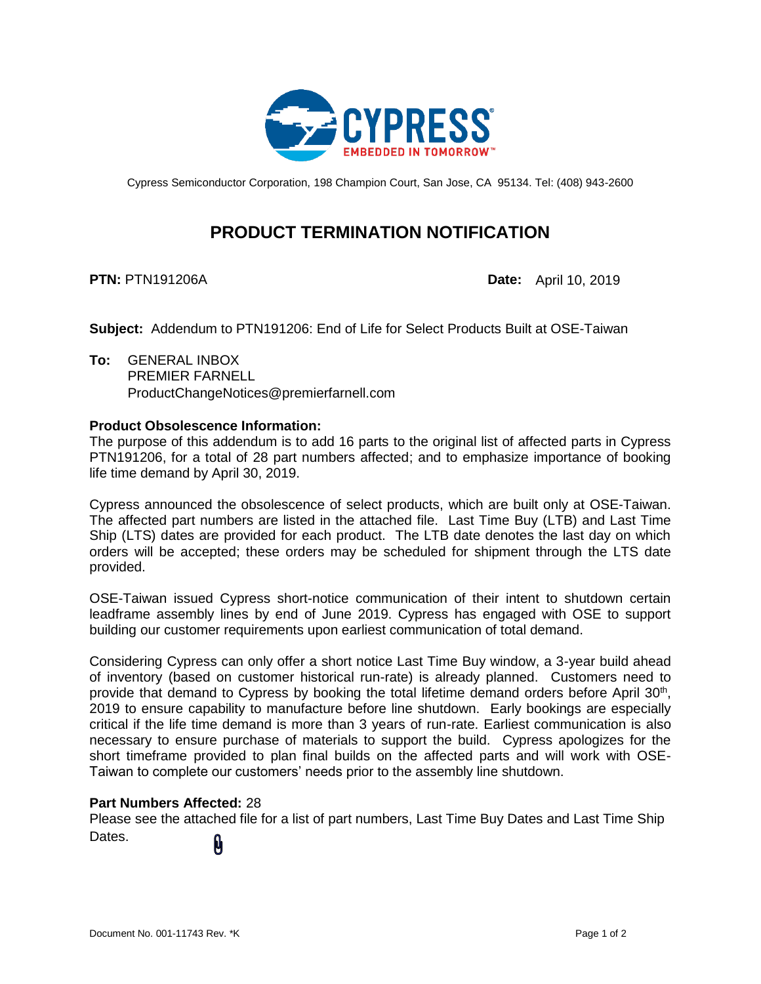

Cypress Semiconductor Corporation, 198 Champion Court, San Jose, CA 95134. Tel: (408) 943-2600

# **PRODUCT TERMINATION NOTIFICATION**

**PTN:** PTN191206A **Date:** April 10, 2019

**Subject:** Addendum to PTN191206: End of Life for Select Products Built at OSE-Taiwan

**To:** GENERAL INBOX PREMIER FARNELL ProductChangeNotices@premierfarnell.com

#### **Product Obsolescence Information:**

The purpose of this addendum is to add 16 parts to the original list of affected parts in Cypress PTN191206, for a total of 28 part numbers affected; and to emphasize importance of booking life time demand by April 30, 2019.

Cypress announced the obsolescence of select products, which are built only at OSE-Taiwan. The affected part numbers are listed in the attached file. Last Time Buy (LTB) and Last Time Ship (LTS) dates are provided for each product. The LTB date denotes the last day on which orders will be accepted; these orders may be scheduled for shipment through the LTS date provided.

OSE-Taiwan issued Cypress short-notice communication of their intent to shutdown certain leadframe assembly lines by end of June 2019. Cypress has engaged with OSE to support building our customer requirements upon earliest communication of total demand.

Considering Cypress can only offer a short notice Last Time Buy window, a 3-year build ahead of inventory (based on customer historical run-rate) is already planned. Customers need to provide that demand to Cypress by booking the total lifetime demand orders before April 30<sup>th</sup>, 2019 to ensure capability to manufacture before line shutdown. Early bookings are especially critical if the life time demand is more than 3 years of run-rate. Earliest communication is also necessary to ensure purchase of materials to support the build. Cypress apologizes for the short timeframe provided to plan final builds on the affected parts and will work with OSE-Taiwan to complete our customers' needs prior to the assembly line shutdown.

#### **Part Numbers Affected:** 28

Please see the attached file for a list of part numbers, Last Time Buy Dates and Last Time Ship Dates. 0